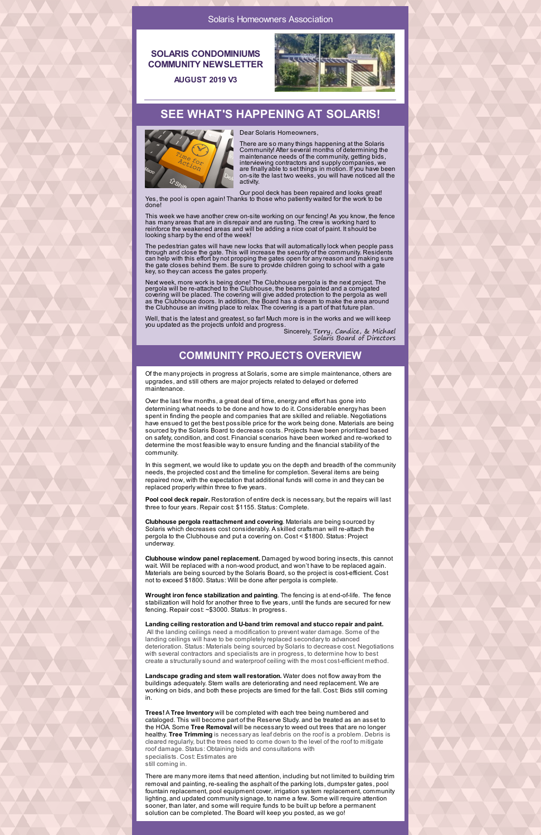### **SOLARIS CONDOMINIUMS COMMUNITY NEWSLETTER**



There are so manythings happening at the Solaris Community! After several months of determining the maintenance needs of the community, getting bids, interviewing contractors and supplycompanies, we are finally able to set things in motion. If you have been on-site the last two weeks, you will have noticed all the activity.

**AUGUST 2019 V3**

## **SEE WHAT'S HAPPENING AT SOLARIS!**



Dear Solaris Homeowners,

This week we have another crew on-site working on our fencing! As you know, the fence has many areas that are in disrepair and are rusting. The crew is working hard to reinforce the weakened areas and will be adding a nice coat of paint. It should be looking sharp by the end of the week!

Our pool deck has been repaired and looks great! Yes, the pool is open again! Thanks to those who patiently waited for the work to be done!

The pedestrian gates will have new locks that will automaticallylock when people pass through and close the gate. This will increase the security of the community. Residents can help with this effort by not propping the gates open for anyreason and making sure the gate closes behind them. Be sure to provide children going to school with a gate key, so theycan access the gates properly.

Next week, more work is being done! The Clubhouse pergola is the next project. The pergola will be re-attached to the Clubhouse, the beams painted and a corrugated covering will be placed. The covering will give added protection to the pergola as well as the Clubhouse doors. In addition, the Board has a dream to make the area around the Clubhouse an inviting place to relax. The covering is a part of that future plan.

Well, that is the latest and greatest, so far! Much more is in the works and we will keep you updated as the projects unfold and progress.

> Sincerely, Terry, Candice, & Michael Solaris Board of Directors

## **COMMUNITY PROJECTS OVERVIEW**

Of the many projects in progress at Solaris, some are simple maintenance, others are upgrades, and still others are major projects related to delayed or deferred maintenance.

Over the last few months, a great deal of time, energy and effort has gone into determining what needs to be done and how to do it. Considerable energy has been spent in finding the people and companies that are skilled and reliable. Negotiations have ensued to get the best possible price for the work being done. Materials are being sourced bythe Solaris Board to decrease costs. Projects have been prioritized based on safety, condition, and cost. Financial scenarios have been worked and re-worked to determine the most feasible wayto ensure funding and the financial stability of the community.

In this segment, we would like to update you on the depth and breadth of the community needs, the projected cost and the timeline for completion. Several items are being repaired now, with the expectation that additional funds will come in and theycan be replaced properly within three to five years.

**Pool cool deck repair.** Restoration of entire deck is necessary, but the repairs will last three to four years. Repair cost: \$1155. Status: Complete.

**Clubhouse pergola reattachment and covering**. Materials are being sourced by Solaris which decreases cost considerably. A skilled craftsman will re-attach the pergola to the Clubhouse and put a covering on. Cost < \$1800. Status: Project underway.

**Clubhouse window panel replacement.** Damaged by wood boring insects, this cannot wait. Will be replaced with a non-wood product, and won't have to be replaced again. Materials are being sourced bythe Solaris Board, so the project is cost-efficient. Cost not to exceed \$1800. Status: Will be done after pergola is complete.

**Wrought iron fence stabilization and painting**. The fencing is at end-of-life. The fence stabilization will hold for another three to five years, until the funds are secured for new fencing. Repair cost: ~\$3000. Status: In progress.

**Landing ceiling restoration and U-band trim removal and stucco repair and paint.** All the landing ceilings need a modification to prevent water damage. Some of the landing ceilings will have to be completely replaced secondary to advanced deterioration. Status: Materials being sourced by Solaris to decrease cost. Negotiations with several contractors and specialists are in progress, to determine how to best create a structurallysound and waterproof ceiling with the most cost-efficient method.

**Landscape grading and stem wall restoration.** Water does not flow awayfrom the buildings adequately. Stem walls are deteriorating and need replacement. We are working on bids, and both these projects are timed for the fall. Cost: Bids still coming in.

**Trees!** A **Tree Inventory** will be completed with each tree being numbered and cataloged. This will become part of the Reserve Study. and be treated as an asset to the HOA. Some **Tree Removal** will be necessaryto weed out trees that are no longer healthy. **Tree Trimming** is necessary as leaf debris on the roof is a problem. Debris is cleared regularly, but the trees need to come down to the level of the roof to mitigate roof damage. Status: Obtaining bids and consultations with specialists. Cost: Estimates are still coming in.

There are many more items that need attention, including but not limited to building trim removal and painting, re-sealing the asphalt of the parking lots, dumpster gates, pool fountain replacement, pool equipment cover, irrigation system replacement, community lighting, and updated communitysignage, to name a few. Some will require attention sooner, than later, and some will require funds to be built up before a permanent solution can be completed. The Board will keep you posted, as we go!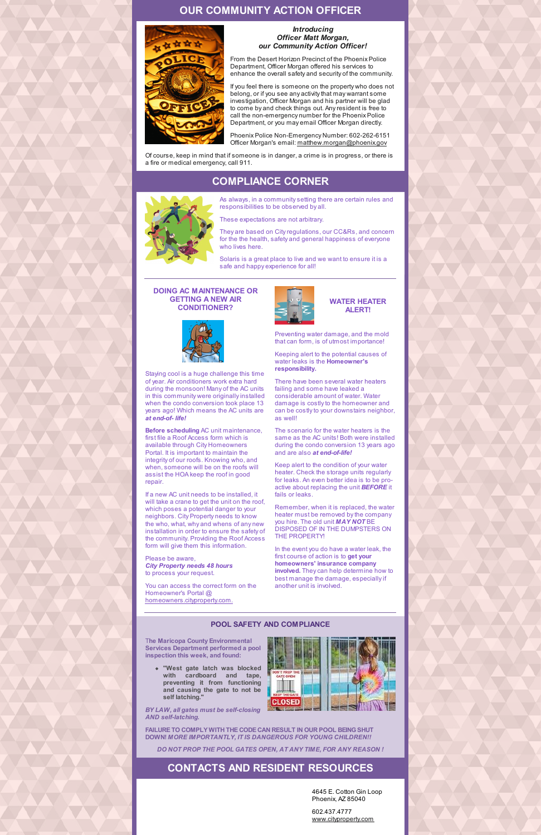## **OUR COMMUNITY ACTION OFFICER**



#### *Introducing Officer Matt Morgan, our Community Action Officer!*

From the Desert Horizon Precinct of the Phoenix Police Department, Officer Morgan offered his services to enhance the overall safety and security of the community.

If you feel there is someone on the property who does not belong, or if you see any activity that may warrant some investigation, Officer Morgan and his partner will be glad to come by and check things out. Anyresident is free to call the non-emergency number for the Phoenix Police Department, or you may email Officer Morgan directly.

Phoenix Police Non-Emergency Number: 602-262-6151 Officer Morgan's email: [matthew.morgan@phoenix.gov](mailto:matthew.morgan@phoenix.gov)

Of course, keep in mind that if someone is in danger, a crime is in progress, or there is a fire or medical emergency, call 911.

# **COMPLIANCE CORNER**



As always, in a communitysetting there are certain rules and responsibilities to be observed by all.

These expectations are not arbitrary.

They are based on Cityregulations, our CC&Rs, and concern for the the health, safety and general happiness of everyone who lives here.

Solaris is a great place to live and we want to ensure it is a safe and happy experience for all!

#### **DOING AC MAINTENANCE OR GETTING A NEW AIR CONDITIONER?**



Staying cool is a huge challenge this time of year. Air conditioners work extra hard during the monsoon! Many of the AC units in this community were originally installed when the condo conversion took place 13 years ago! Which means the AC units are *at end-of- life!*

**Before scheduling** AC unit maintenance, first file a Roof Access form which is available through City Homeowners Portal. It is important to maintain the integrity of our roofs. Knowing who, and when, someone will be on the roofs will assist the HOA keep the roof in good repair.

If a new AC unit needs to be installed, it will take a crane to get the unit on the roof, which poses a potential danger to your neighbors. City Property needs to know the who, what, why and whens of any new installation in order to ensure the safety of the community. Providing the Roof Access form will give them this information.

Please be aware, *City Property needs 48 hours* to process your request.

You can access the correct form on the Homeowner's Portal @ [homeowners.cityproperty.com.](https://homeowners.cityproperty.com)





Preventing water damage, and the mold that can form, is of utmost importance!

Keeping alert to the potential causes of water leaks is the **Homeowner's responsibility.**

There have been several water heaters failing and some have leaked a considerable amount of water. Water damage is costly to the homeowner and can be costly to your downstairs neighbor, as well!

The scenario for the water heaters is the same as the AC units! Both were installed during the condo conversion 13 years ago and are also *at end-of-life!*

Keep alert to the condition of your water heater. Check the storage units regularly for leaks. An even better idea is to be proactive about replacing the unit *BEFORE* it fails or leaks.

Remember, when it is replaced, the water heater must be removed bythe company you hire. The old unit *MAY NOT* BE DISPOSED OF IN THE DUMPSTERS ON THE PROPERTY!

In the event you do have a water leak, the first course of action is to **get your homeowners' insurance company involved.** Theycan help determine how to best manage the damage, especiallyif another unit is involved.

#### **POOL SAFETY AND COMPLIANCE**

T**he Maricopa County Environmental Services Department performed a pool inspection this week, and found:**

**"West gate latch was blocked with cardboard and tape, preventing it from functioning and causing the gate to not be self latching."**

*BY LAW, all gates must be self-closing AND self-latching.*



**FAILURE TO COMPLY WITH THE CODE CAN RESULT IN OUR POOL BEINGSHUT DOWN!** *MORE IMPORTANTLY, IT IS DANGEROUS FOR YOUNG CHILDREN!!*

*DO NOT PROP THE POOL GATES OPEN, AT ANY TIME, FOR ANY REASON !*

## **CONTACTS AND RESIDENT RESOURCES**

4645 E. Cotton Gin Loop Phoenix, AZ 85040

602.437.4777 [www.cityproperty.com](http://www.cityproperty.com/)